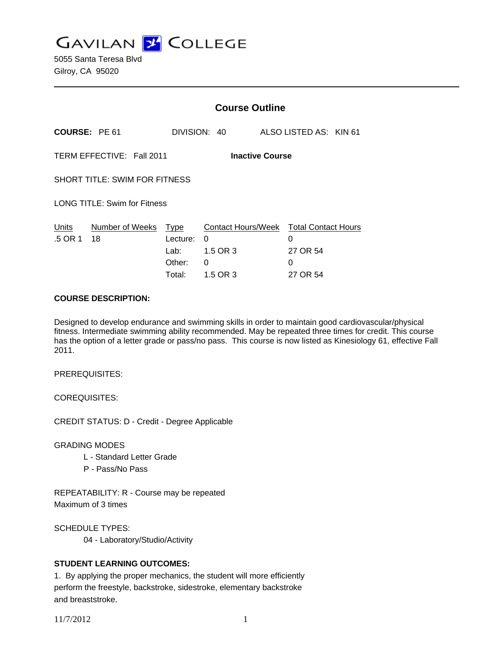**GAVILAN Z COLLEGE** 

|                                                     |                       | <b>Course Outline</b>                        |                                                      |  |                                                              |  |
|-----------------------------------------------------|-----------------------|----------------------------------------------|------------------------------------------------------|--|--------------------------------------------------------------|--|
| COURSE: PE 61                                       |                       |                                              | DIVISION: 40                                         |  | ALSO LISTED AS: KIN 61                                       |  |
| TERM EFFECTIVE: Fall 2011<br><b>Inactive Course</b> |                       |                                              |                                                      |  |                                                              |  |
| <b>SHORT TITLE: SWIM FOR FITNESS</b>                |                       |                                              |                                                      |  |                                                              |  |
| <b>LONG TITLE: Swim for Fitness</b>                 |                       |                                              |                                                      |  |                                                              |  |
| Units<br>.5 OR 1                                    | Number of Weeks<br>18 | Type<br>Lecture:<br>Lab:<br>Other:<br>Total: | Contact Hours/Week<br>0<br>1.5 OR 3<br>0<br>1.5 OR 3 |  | <b>Total Contact Hours</b><br>0<br>27 OR 54<br>0<br>27 OR 54 |  |

#### **COURSE DESCRIPTION:**

Designed to develop endurance and swimming skills in order to maintain good cardiovascular/physical fitness. Intermediate swimming ability recommended. May be repeated three times for credit. This course has the option of a letter grade or pass/no pass. This course is now listed as Kinesiology 61, effective Fall 2011.

PREREQUISITES:

COREQUISITES:

CREDIT STATUS: D - Credit - Degree Applicable

GRADING MODES

- L Standard Letter Grade
- P Pass/No Pass

REPEATABILITY: R - Course may be repeated Maximum of 3 times

SCHEDULE TYPES: 04 - Laboratory/Studio/Activity

# **STUDENT LEARNING OUTCOMES:**

1. By applying the proper mechanics, the student will more efficiently perform the freestyle, backstroke, sidestroke, elementary backstroke and breaststroke.

11/7/2012 1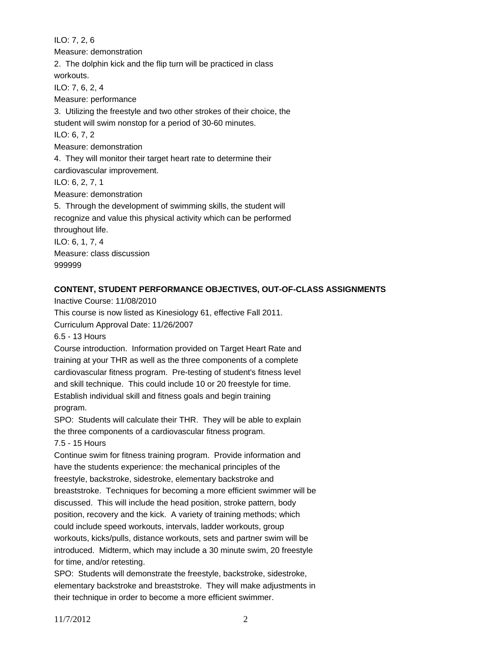ILO: 7, 2, 6 Measure: demonstration 2. The dolphin kick and the flip turn will be practiced in class workouts. ILO: 7, 6, 2, 4 Measure: performance 3. Utilizing the freestyle and two other strokes of their choice, the student will swim nonstop for a period of 30-60 minutes. ILO: 6, 7, 2 Measure: demonstration 4. They will monitor their target heart rate to determine their cardiovascular improvement. ILO: 6, 2, 7, 1 Measure: demonstration 5. Through the development of swimming skills, the student will recognize and value this physical activity which can be performed throughout life. ILO: 6, 1, 7, 4 Measure: class discussion 999999

#### **CONTENT, STUDENT PERFORMANCE OBJECTIVES, OUT-OF-CLASS ASSIGNMENTS**

Inactive Course: 11/08/2010

This course is now listed as Kinesiology 61, effective Fall 2011.

Curriculum Approval Date: 11/26/2007

6.5 - 13 Hours

Course introduction. Information provided on Target Heart Rate and training at your THR as well as the three components of a complete cardiovascular fitness program. Pre-testing of student's fitness level and skill technique. This could include 10 or 20 freestyle for time. Establish individual skill and fitness goals and begin training program.

SPO: Students will calculate their THR. They will be able to explain the three components of a cardiovascular fitness program.

7.5 - 15 Hours

Continue swim for fitness training program. Provide information and have the students experience: the mechanical principles of the freestyle, backstroke, sidestroke, elementary backstroke and breaststroke. Techniques for becoming a more efficient swimmer will be discussed. This will include the head position, stroke pattern, body position, recovery and the kick. A variety of training methods; which could include speed workouts, intervals, ladder workouts, group workouts, kicks/pulls, distance workouts, sets and partner swim will be introduced. Midterm, which may include a 30 minute swim, 20 freestyle for time, and/or retesting.

SPO: Students will demonstrate the freestyle, backstroke, sidestroke, elementary backstroke and breaststroke. They will make adjustments in their technique in order to become a more efficient swimmer.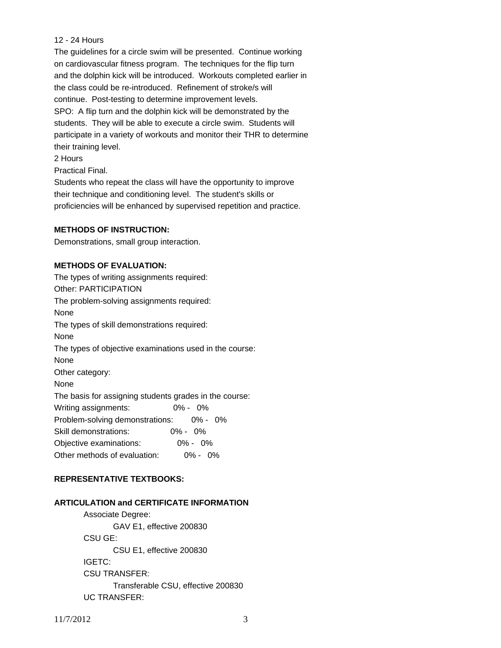## 12 - 24 Hours

The guidelines for a circle swim will be presented. Continue working on cardiovascular fitness program. The techniques for the flip turn and the dolphin kick will be introduced. Workouts completed earlier in the class could be re-introduced. Refinement of stroke/s will continue. Post-testing to determine improvement levels. SPO: A flip turn and the dolphin kick will be demonstrated by the students. They will be able to execute a circle swim. Students will participate in a variety of workouts and monitor their THR to determine their training level.

2 Hours

Practical Final.

Students who repeat the class will have the opportunity to improve their technique and conditioning level. The student's skills or proficiencies will be enhanced by supervised repetition and practice.

## **METHODS OF INSTRUCTION:**

Demonstrations, small group interaction.

# **METHODS OF EVALUATION:**

The types of writing assignments required: Other: PARTICIPATION The problem-solving assignments required: None The types of skill demonstrations required: None The types of objective examinations used in the course: None Other category: None The basis for assigning students grades in the course: Writing assignments: 0% - 0% Problem-solving demonstrations: 0% - 0% Skill demonstrations: 0% - 0% Objective examinations: 0% - 0% Other methods of evaluation: 0% - 0%

# **REPRESENTATIVE TEXTBOOKS:**

## **ARTICULATION and CERTIFICATE INFORMATION**

 Associate Degree: GAV E1, effective 200830 CSU GE: CSU E1, effective 200830 IGETC: CSU TRANSFER: Transferable CSU, effective 200830 UC TRANSFER: